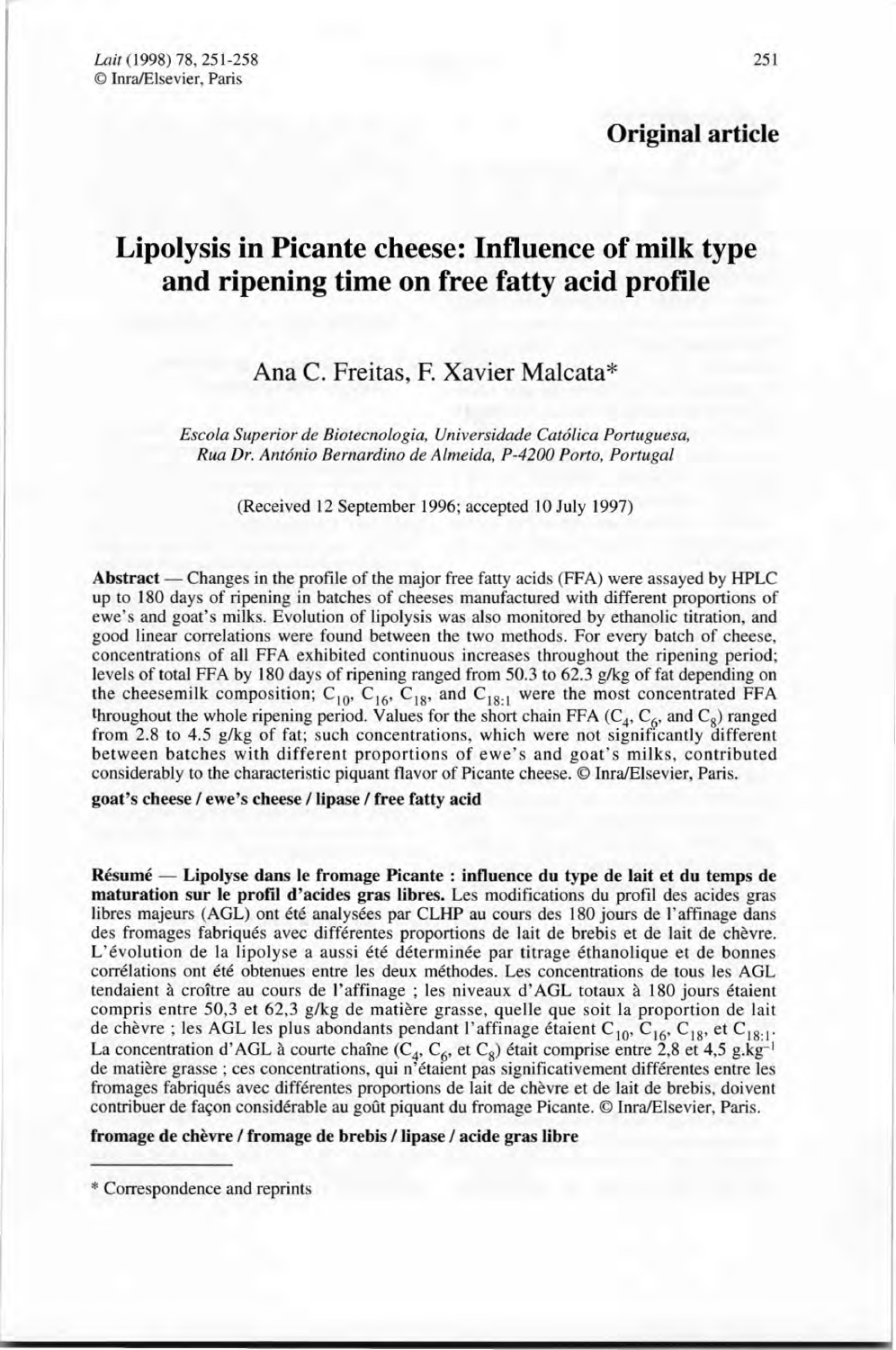**Original article**

# **Lipolysis in Picante cheese: Influence of milk type and ripening time on free fatty acid profile**

# Ana C. Freitas, F. Xavier Malcata \*

*Escola Superior de Biotecnologia, Universidade Catôlica Portuguesa, Rua Dr. Antonio Bernardino de Almeida. P-4200 Porto, Portugal*

(Received 12 September 1996; accepted 10 July 1997)

Abstract — Changes in the profile of the major free fatty acids (FFA) were assayed by HPLC up to 180 days of ripening in batches of cheeses manufactured with different proportions of ewe's and goat's milks. Evolution of lipolysis was also monitored by ethanolic titration, and good linear correlations were found between the two methods. For every batch of cheese, concentrations of ail FFA exhibited continuous increases throughout the ripening period: levels of total FFA by 180 days of ripening ranged from 50.3 to 62.3 g/kg of fat depending on the cheesemilk composition;  $C_{10}$ ,  $C_{16}$ ,  $C_{18}$ , and  $C_{18:1}$  were the most concentrated FFA throughout the whole ripening period. Values for the short chain FFA  $(C_4, C_6, \text{ and } C_8)$  ranged from 2.8 to 4.5 g/kg of fat; such concentrations, which were not significantly different between batches with different proportions of ewe's and goat's milks, contributed considerably to the characteristic piquant flavor of Picante cheese. © Inra/Elsevier, Paris.

goat's cheese / ewe's cheese / lipase / free fatty acid

Résumé - Lipolyse dans le fromage Picante : influence du type de lait et du temps de maturation sur le profil d'acides gras libres. Les modifications du profil des acides gras libres majeurs (AGL) ont été analysées par CLHP au cours des 180 jours de l'affinage dans des fromages fabriqués avec différentes proportions de lait de brebis et de lait de chèvre. L'évolution de la lipolyse a aussi été déterminée par titrage éthanolique et de bonnes corrélations ont été obtenues entre les deux méthodes. Les concentrations de tous les AGL tendaient à croître au cours de l'affinage; les niveaux d'AGL totaux à 180 jours étaient compris entre 50,3 et 62,3 g/kg de matière grasse, quelle que soit la proportion de lait de chèvre ; les AGL les plus abondants pendant l'affinage étaient C<sub>10</sub>, C<sub>16</sub>, C<sub>18</sub>, et C<sub>18:1</sub> La concentration d'AGL à courte chaîne ( $C_4$ ,  $C_6$ , et  $C_8$ ) était comprise entre 2,8 et 4,5 g.kg de matière grasse; ces concentrations, qui n'étaient pas significativement différentes entre les fromages fabriqués avec différentes proportions de lait de chèvre et de lait de brebis, doivent contribuer de façon considérable au goût piquant du fromage Picante. © InralElsevier, Paris.

fromage de chèvre / fromage de brebis / lipase / acide gras libre

<sup>\*</sup> Correspondence and reprints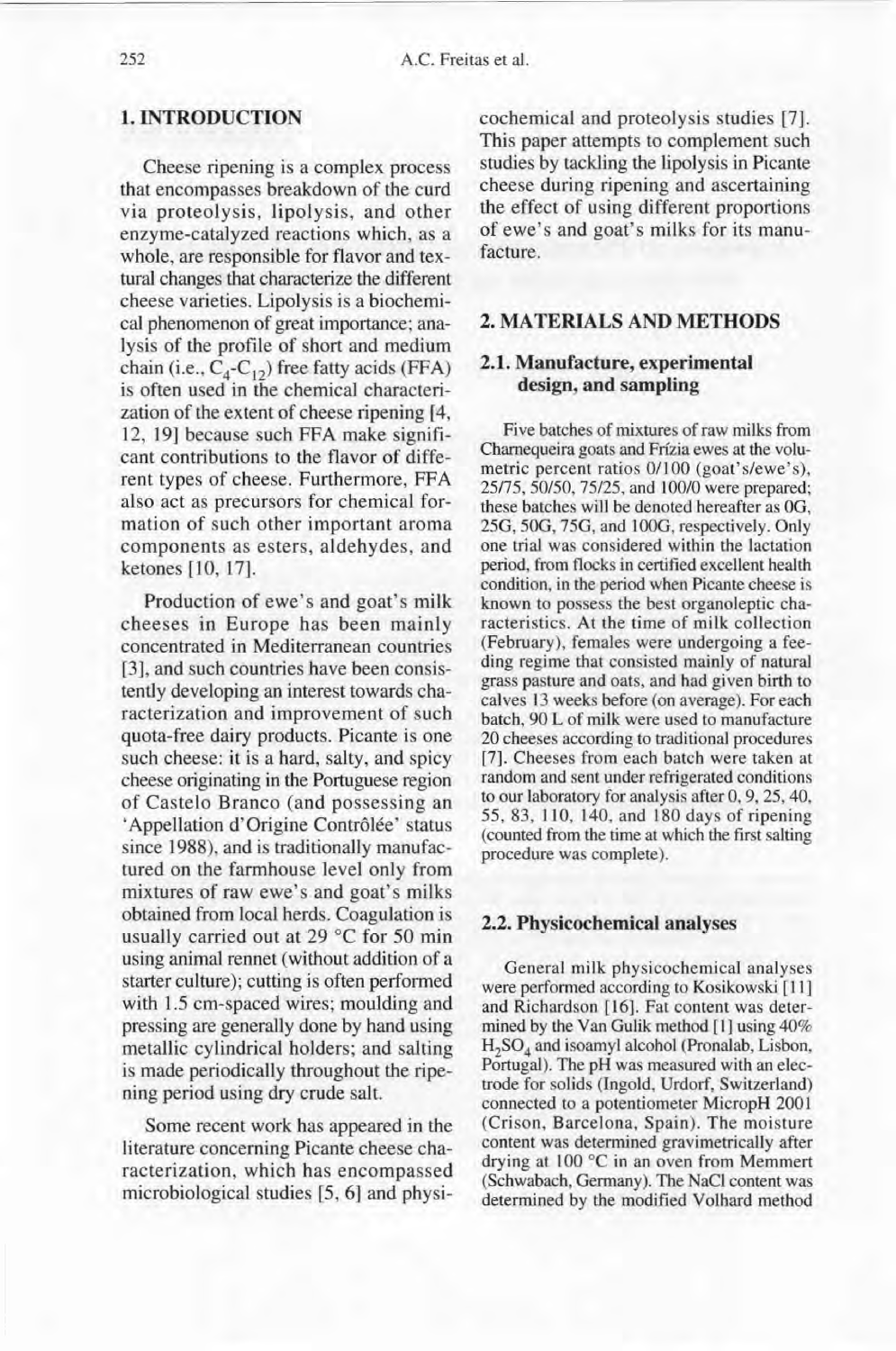### 1. INTRODUCTION

Cheese ripening is a complex process that encompasses breakdown of the curd via proteolysis, lipolysis, and other enzyme-catalyzed reactions which, as a whole, are responsible for flavor and texturai changes that characterize the different cheese varieties. Lipolysis is a biochemical phenomenon of great importance; ana-Iysis of the profile of short and medium chain (i.e.,  $C_4$ - $C_{12}$ ) free fatty acids (FFA) is often used in the chemical characteri zation of the extent of cheese ripening [4, 12, 19] because such FFA make significant contributions to the flavor of different types of cheese. Furthermore, FFA also act as precursors for chemical formation of such other important aroma components as esters, aldehydes, and ketones [10, 17].

Production of ewe's and goat's milk cheeses in Europe has been mainly concentrated in Mediterranean countries [3], and such countries have been consistently developing an interest towards characterization and improvement of such quota-free dairy products. Picante is one such cheese: it is a hard, salty, and spicy cheese originating in the Portuguese region of Castelo Branco (and possessing an 'Appellation d'Origine Contrôlée' status since 1988), and is traditionally manufactured on the farmhouse level only from mixtures of raw ewe's and goat's milks obtained from local herds. Coagulation is usually carried out at 29 °C for 50 min using animal rennet (without addition of a starter culture); cutting is often performed with 1.5 cm-spaced wires; moulding and pressing are generally done by hand using metallic cylindrical holders; and salting is made periodically throughout the ripening period using dry crude salt.

Sorne recent work has appeared in the literature concerning Picante cheese characterization, which has encompassed microbiological studies [5, 6] and physicochemical and proteolysis studies [7]. This paper attempts to complement such studies by tackling the lipolysis in Picante cheese during ripening and ascertaining the effect of using different proportions of ewe's and goat's milks for its manufacture.

# 2. MATERIALS AND METHODS

#### 2.1. Manufacture, experimental design, and sampling

Five batches of mixtures of raw milks from Chamequeira goats and Frfzia ewes at the volumetric percent ratios 0/100 (goat's/ewe's), *25175,50/50,75125,* and 100/0 were prepared; these batches will be denoted hereafter as OG, 25G, 50G, 75G, and 100G, respectively. Only one trial was considered within the lactation period, from flocks in certified excellent health condition, in the period when Picante cheese is known to possess the best organoleptic characteristics. At the time of milk collection (February), females were undergoing a feeding regime that consisted mainly of natural grass pasture and oats, and had given birth to calves 13 weeks before (on average). For each batch, 90 L of milk were used to manufacture 20 cheeses according to traditional procedures [7]. Cheeses from each batch were taken at random and sent under refrigerated conditions to our laboratory for analysis after 0,9,25,40, 55,83, llO, 140, and 180 days of ripening (counted from the time at which the first salting procedure was complete).

#### 2.2. Physicochemical analyses

Oeneral milk physicochemical analyses were performed according to Kosikowski [Il] and Richardson [16]. Fat content was determined by the Van Oulik method [1] using 40% H2 S0<sup>4</sup> and isoamyl alcohol (Pronalab, Lisbon, Portugal). The pH was measured with an electrode for solids (Ingold, Urdorf, Switzerland) connected to a potentiometer MicropH 2001 (Crison, Barcelona, Spain). The moisture content was determined gravimetrically after drying at 100 "C in an oven from Memmert (Schwabach, Oermany). The NaCI content was determined by the modified Volhard method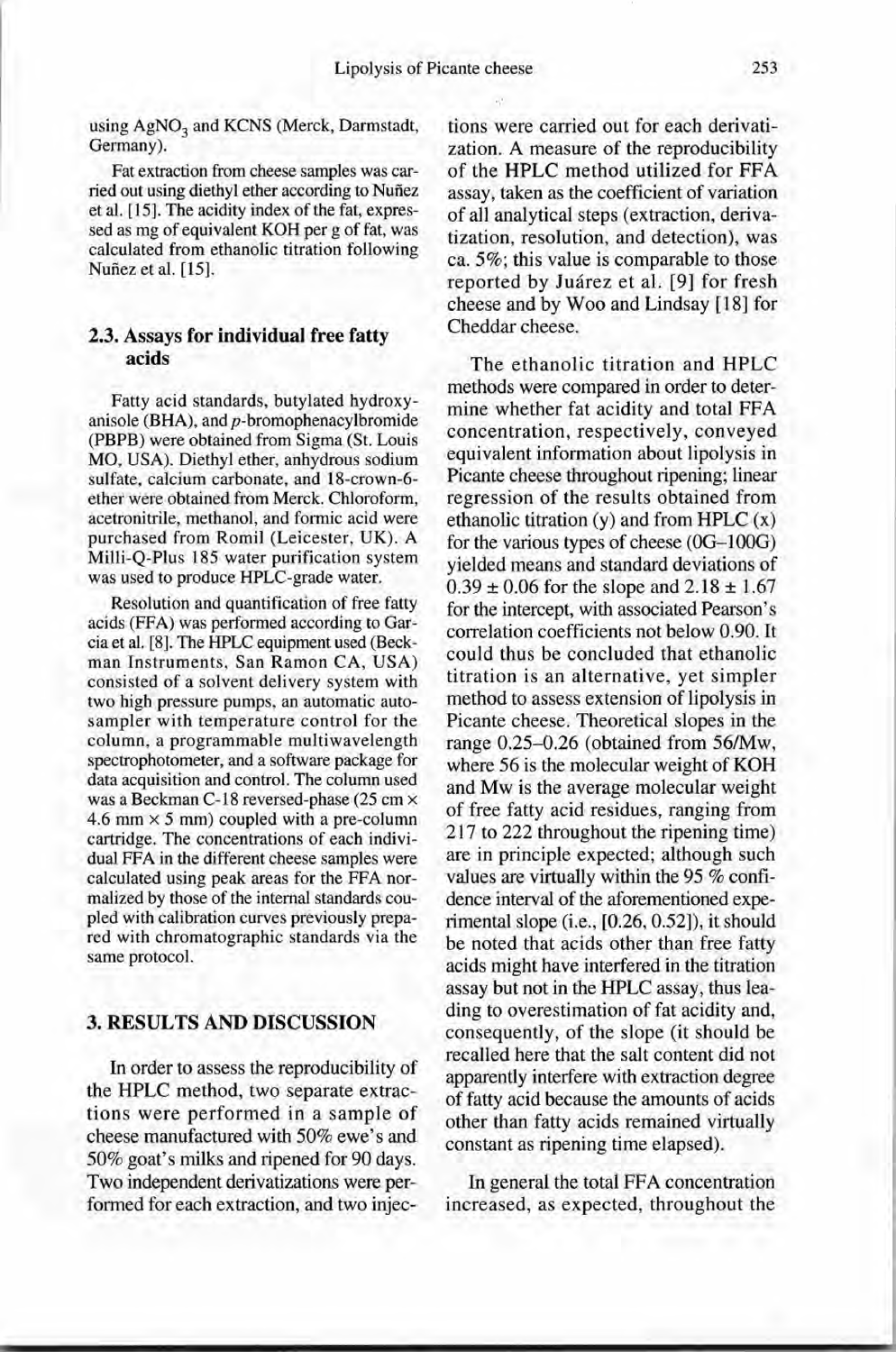using AgNO<sub>3</sub> and KCNS (Merck, Darmstad Germany).

Fat extraction from cheese samples was carried out using diethyl ether according to Nufiez et al. [15]. The acidity index of the fat, expressed as mg of equivalent KOH per g of fat, was calculated from ethanolic titration following Nufiez et al. [15].

### 2.3. Assays for individual free fatty acids

Fatty acid standards, butylated hydroxyanisole (BHA), and  $p$ -bromophenacylbromide (PBPB) were obtained from Sigma (St. Louis MO, USA). Diethyl ether, anhydrous sodium sulfate, calcium carbonate, and 18-crown-6 ether were obtained from Merck. Chloroform, acetronitrile, methanol, and formic acid were purchased from Romi! (Leicester, UK). A Milli-Q-Plus 185 water purification system was used to produce HPLC-grade water.

Resolution and quantification of free fatty acids (FFA) was performed according to Garcia et al. [8]. The HPLC equipment used (Beekman Instruments, San Ramon CA, USA) consisted of a solvent delivery system with two high pressure pumps, an automatic autosampler with temperature control for the column, a programmable multiwavelength spectrophotometer, and a software package for data acquisition and control. The column used was a Beckman C-18 reversed-phase (25 cm  $\times$ 4.6 mm  $\times$  5 mm) coupled with a pre-column cartridge. The concentrations of each individual FFA in the different cheese samples were calculated using peak areas for the FFA normalized by those of the internai standards coupied with calibration curves previously prepared with chromatographie standards via the same protocol.

# 3. RESULTS AND DISCUSSION

In arder to assess the reproducibility of the HPLC method, two separate extractions were performed in a sample of cheese manufactured with 50% ewe's and 50% goat's milks and ripened for 90 days. Two independent derivatizations were performed for each extraction, and two injec-

tions were carried out for each derivatization. A measure of the reproducibility of the HPLC method utilized for FFA assay, taken as the coefficient of variation of aIl analytical steps (extraction, derivatization, resolution, and detection), was ca. 5%; this value is comparable to those reported by Juarez et al. [9] for fresh cheese and by Woo and Lindsay [18] for Cheddar cheese.

The ethanolic titration and HPLC methods were compared in order to determine whether fat acidity and total FFA concentration, respectively, conveyed equivalent information about lipolysis in Picante cheese throughout ripening; linear regression of the results obtained from ethanolic titration  $(y)$  and from HPLC  $(x)$ for the various types of cheese (0G-100G) yielded means and standard deviations of  $0.39 \pm 0.06$  for the slope and  $2.18 \pm 1.67$ for the intercept, with associated Pearson's correlation coefficients not below 0.90. It could thus be concluded that ethanolic titration is an alternative, yet simpler method to assess extension of lipolysis in Picante cheese. Theoretical slopes in the range 0.25-0.26 (obtained from 56/Mw, where 56 is the molecular weight of KOH and Mw is the average molecular weight of free fatty acid residues, ranging from 217 to 222 throughout the ripening time) are in principle expected; although such values are virtually within the 95 % confidence interval of the aforementioned experimental slope (i.e., [0.26, 0.52]), it should be noted that acids other than free fatty acids might have interfered in the titration assay but not in the HPLC assay, thus leading to overestimation of fat acidity and, consequently, of the slope (it should be recalled here that the salt content did not apparently interfere with extraction degree of fatty acid because the amounts of acids other than fatty acids remained virtually constant as ripening time elapsed).

In general the total FFA concentration increased, as expected, throughout the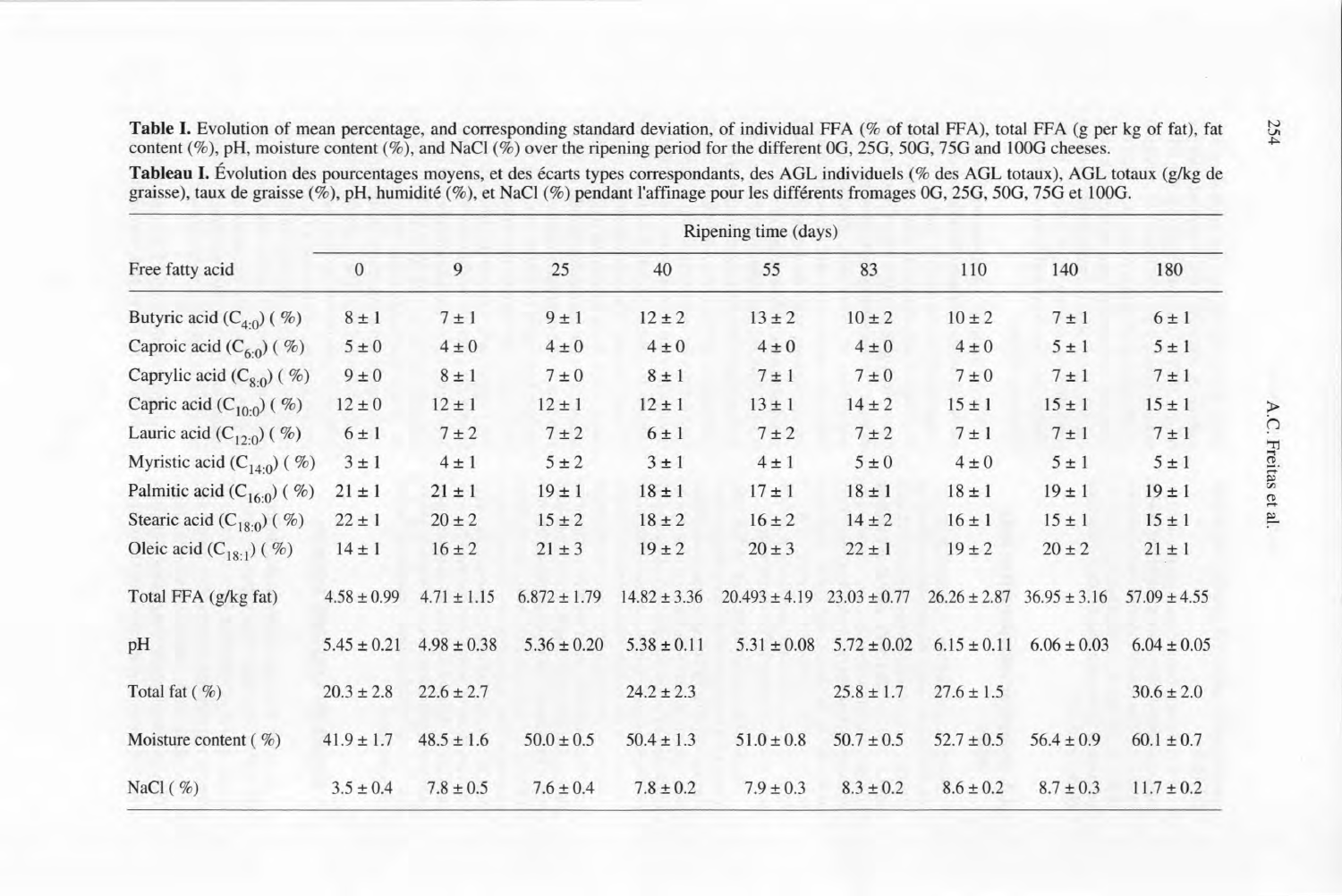Table I. Evolution of mean percentage, and corresponding standard deviation, of individual FFA (% of total FFA), total FFA (g per kg of fat), fat content (%), pH, moisture content (%), and NaCl (%) over the ripening period for the different 0G, 25G, 50G, 75G and 100G cheeses.

Tableau I. Évolution des pourcentages moyens, et des écarts types correspondants, des AGL individuels (% des AGL totaux), AGL totaux (g/kg de graisse), taux de graisse  $(\frac{\%}{6})$ , pH, humidité  $(\frac{\%}{6})$ , et NaCl  $(\frac{\%}{6})$  pendant l'affinage pour les différents fromages 0G, 25G, 50G, 75G et 100G.

|                                    | Ripening time (days) |                 |                  |                  |                   |                  |                  |                  |                  |
|------------------------------------|----------------------|-----------------|------------------|------------------|-------------------|------------------|------------------|------------------|------------------|
| Free fatty acid                    | $\overline{0}$       | 9               | 25               | 40               | 55                | 83               | 110              | 140              | 180              |
| Butyric acid $(C_{4,0})$ (%)       | $8 \pm 1$            | $7 \pm 1$       | $9 \pm 1$        | $12 \pm 2$       | $13 \pm 2$        | $10 \pm 2$       | $10 \pm 2$       | $7 \pm 1$        | $6 \pm 1$        |
| Caproic acid $(C_{6:0})$ (%)       | $5 \pm 0$            | $4\pm0$         | $4 \pm 0$        | $4 \pm 0$        | $4 \pm 0$         | $4 \pm 0$        | $4 \pm 0$        | $5 \pm 1$        | $5 \pm 1$        |
| Caprylic acid $(C_{8,0})$ (%)      | $9 \pm 0$            | $8 \pm 1$       | $7 \pm 0$        | $8 \pm 1$        | $7 \pm 1$         | $7 \pm 0$        | $7 \pm 0$        | $7 \pm 1$        | $7 \pm 1$        |
| Capric acid $(C_{10:0})$ (%)       | $12 \pm 0$           | $12 \pm 1$      | $12 \pm 1$       | $12 \pm 1$       | $13 \pm 1$        | $14 \pm 2$       | $15 \pm 1$       | $15 \pm 1$       | $15 \pm 1$       |
| Lauric acid $(C_{12 \cdot 0})$ (%) | $6 \pm 1$            | $7 \pm 2$       | $7 \pm 2$        | $6 \pm 1$        | $7 \pm 2$         | $7 \pm 2$        | $7 \pm 1$        | $7 \pm 1$        | $7 \pm 1$        |
| Myristic acid $(C_{14:0})$ (%)     | $3 \pm 1$            | $4 \pm 1$       | $5 \pm 2$        | $3 \pm 1$        | $4 \pm 1$         | $5\pm0$          | $4\pm0$          | $5 \pm 1$        | $5 \pm 1$        |
| Palmitic acid $(C_{16:0})$ (%)     | $21 \pm 1$           | $21 \pm 1$      | $19 \pm 1$       | $18 \pm 1$       | $17 \pm 1$        | $18 \pm 1$       | $18 \pm 1$       | $19 \pm 1$       | $19 \pm 1$       |
| Stearic acid $(C_{18:0})$ (%)      | $22 \pm 1$           | $20 \pm 2$      | $15 \pm 2$       | $18 \pm 2$       | $16 \pm 2$        | $14 \pm 2$       | $16 \pm 1$       | $15 \pm 1$       | $15 \pm 1$       |
| Oleic acid $(C_{18-1})$ (%)        | $14 \pm 1$           | $16 \pm 2$      | $21 \pm 3$       | $19 \pm 2$       | $20 \pm 3$        | $22 \pm 1$       | $19 \pm 2$       | $20 \pm 2$       | $21 \pm 1$       |
| Total FFA (g/kg fat)               | $4.58 \pm 0.99$      | $4.71 \pm 1.15$ | $6.872 \pm 1.79$ | $14.82 \pm 3.36$ | $20.493 \pm 4.19$ | $23.03 \pm 0.77$ | $26.26 \pm 2.87$ | $36.95 \pm 3.16$ | $57.09 \pm 4.55$ |
| pH                                 | $5.45 \pm 0.21$      | $4.98 \pm 0.38$ | $5.36 \pm 0.20$  | $5.38 \pm 0.11$  | $5.31 \pm 0.08$   | $5.72 \pm 0.02$  | $6.15 \pm 0.11$  | $6.06 \pm 0.03$  | $6.04 \pm 0.05$  |
| Total fat $(\% )$                  | $20.3 \pm 2.8$       | $22.6 \pm 2.7$  |                  | $24.2 \pm 2.3$   |                   | $25.8 \pm 1.7$   | $27.6 \pm 1.5$   |                  | $30.6 \pm 2.0$   |
| Moisture content ( $\%$ )          | $41.9 \pm 1.7$       | $48.5 \pm 1.6$  | $50.0 \pm 0.5$   | $50.4 \pm 1.3$   | $51.0 \pm 0.8$    | $50.7 \pm 0.5$   | $52.7 \pm 0.5$   | $56.4 \pm 0.9$   | $60.1 \pm 0.7$   |
| NaCl $(\%)$                        | $3.5 \pm 0.4$        | $7.8 \pm 0.5$   | $7.6 \pm 0.4$    | $7.8 \pm 0.2$    | $7.9 \pm 0.3$     | $8.3 \pm 0.2$    | $8.6 \pm 0.2$    | $8.7 \pm 0.3$    | $11.7 \pm 0.2$   |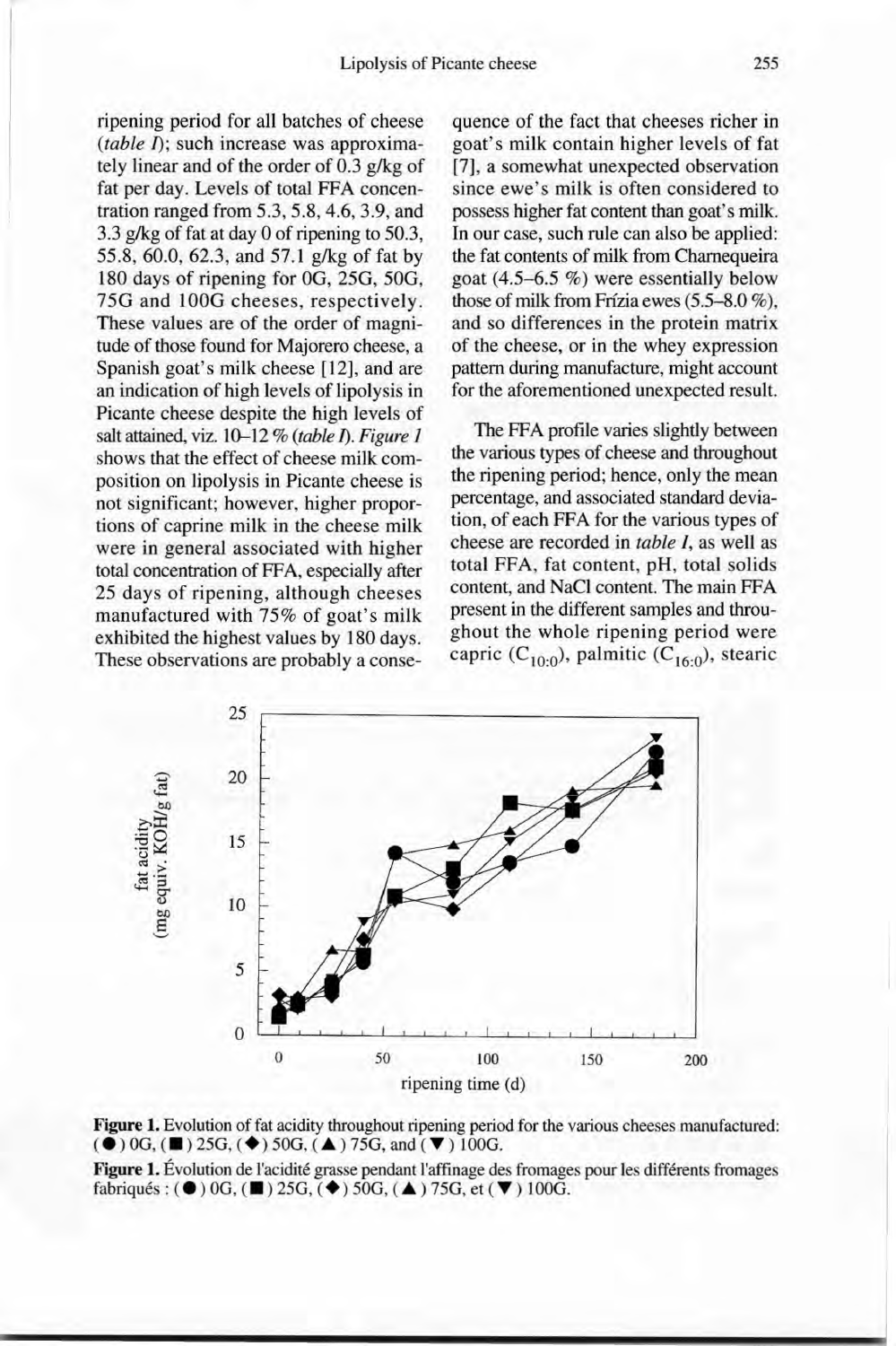ripening period for all batches of cheese *(table /);* such increase was approximately linear and of the order of 0.3 g/kg of fat per day. Levels of total FFA concentration ranged from  $5.3$ ,  $5.8$ ,  $4.6$ ,  $3.9$ , and 3.3  $g/kg$  of fat at day 0 of ripening to 50.3, 55.8, 60.0, 62.3, and 57.1 g/kg of fat by 180 days of ripening for OG, 25G, 50G, 75G and 100G cheeses, respectively. These values are of the order of magnitude of those found for Majorero cheese, a Spanish goat's milk cheese [12], and are an indication of high levels of lipolysis in Picante cheese despite the high levels of salt attained, viz. 10-12 % *(table 1).Figure 1* shows that the effect of cheese milk composition on lipolysis in Picante cheese is not significant; however, higher proportions of caprine milk in the cheese milk were in general associated with higher total concentration of FFA, especially after 25 days of ripening, although cheeses manufactured with 75% of goat's milk exhibited the highest values by 180 days. These observations are probably a conse-

quence of the fact that cheeses richer in goat's milk contain higher levels of fat [7], a somewhat unexpected observation since ewe's milk is often considered to possess higher fat content than goat's milk. In our case, such rule can also be applied: the fat contents of milk from Chamequeira goat (4.5-6.5 %) were essentially below those of milk from Frizia ewes (5.5-8.0 %), and so differences in the protein matrix of the cheese, or in the whey expression pattern during manufacture, might account for the aforementioned unexpected result.

The FFA profile varies slightly between the various types of cheese and throughout the ripening period; hence, only the mean percentage, and associated standard deviation, of each FFA for the various types of cheese are recorded in *table I*, as well as total FFA, fat content, pH, total solids content, and NaCI content. The main FFA present in the different samples and throughout the whole ripening period were capric (C<sub>10:0</sub>), palmitic (C<sub>16:0</sub>), steari





Figure 1. Évolution de l'acidité grasse pendant l'affinage des fromages pour les différents fromages fabriqués:  $(\bullet)$  0G,  $(\blacksquare)$  25G,  $(\blacklozenge)$  50G,  $(\blacktriangle)$  75G, et  $(\blacktriangledown)$  100G.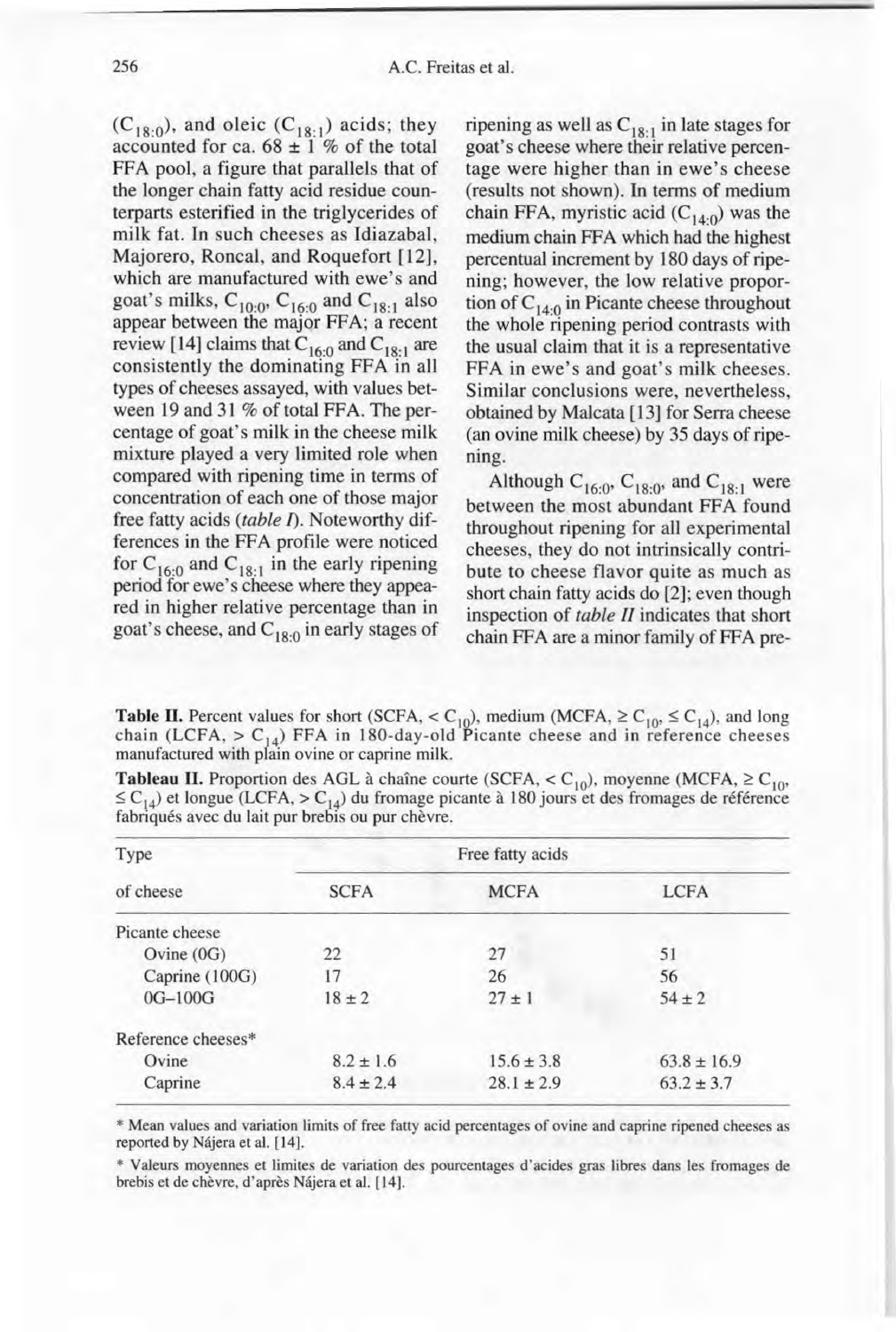$(C_{18:0})$ , and oleic  $(C_{18:1})$  acids; they accounted for ca.  $68 \pm 1$  % of the total FFA pool, a figure that parallels that of the longer chain fatty acid residue counterparts esterified in the triglycerides of milk fat. In such cheeses as Idiazabal, Majorero, Roncal, and Roquefort [12], which are manufactured with ewe's and goat's milks,  $C_{10:0}$ ,  $C_{16:0}$  and  $C_{18:1}$  also appear between the major FFA; a recent review [14] claims that  $C_{16:0}$  and  $C_{18:1}$  are consistently the dominating FFA in a11 types of cheeses assayed, with values between 19 and 31 % of total FFA. The percentage of goat's milk in the cheese milk mixture played a very limited role when compared with ripening time in terms of concentration of each one of those major free fatty acids *(table 1).* Noteworthy differences in the FFA profile were noticed for  $C_{16:0}$  and  $C_{18:1}$  in the early ripening period for ewe's cheese where they appeared in higher relative percentage than in goat's cheese, and  $C_{18:0}$  in early stages of

ripening as well as  $C_{18:1}$  in late stages for goat's cheese where their relative percentage were higher than in ewe's cheese (results not shown). In terms of medium chain FFA, myristic acid  $(C_{14:0})$  was the medium chain FFA which had the highest percentual increment by 180 days of ripening; however, the low relative proportion of  $C_{14:0}$  in Picante cheese throughout the whole ripening period contrasts with the usual claim that it is a representative FFA in ewe's and goat's milk cheeses. Similar conclusions were, nevertheless, obtained by Malcata [13] for Serra cheese (an ovine milk cheese) by 35 days of ripening.

Although  $C_{16:0}$ ,  $C_{18:0}$ , and  $C_{18:1}$  were between the most abundant FFA found throughout ripening for all experimental cheeses, they do not intrinsically contribute to cheese flavor quite as much as short chain fatty acids do [2]; even though inspection of *table II* indicates that short chain FFA are a minor family of FFA pre-

**Table II.** Percent values for short (SCFA,  $\langle C_{10} \rangle$ , medium (MCFA,  $\ge C_{10}$ ,  $\le C_{14}$ ), and long chain (LCFA,  $> C_{14}$ ) FFA in 180-day-old Picante cheese and in reference cheese manufactured with plain ovine or caprine milk.

|           |                  |             | $\geq C_{14}$ et longue (LCFA, $> C_{14}$ ) du fromage picante a 160 jours et des fromages de reference fabriqués avec du lait pur brebis ou pur chèvre. |  |
|-----------|------------------|-------------|----------------------------------------------------------------------------------------------------------------------------------------------------------|--|
| Type      | Free fatty acids |             |                                                                                                                                                          |  |
| of cheese | <b>SCFA</b>      | <b>MCFA</b> | <b>LCFA</b>                                                                                                                                              |  |

Ovine (0G) 22 27 51 Caprine (100G) 17 26 56  $0G-100G$   $18 \pm 2$   $27 \pm 1$   $54 \pm 2$ 

| <b>Tableau II.</b> Proportion des AGL à chaîne courte (SCFA, < C <sub>10</sub> ), moyenne (MCFA, $\geq$ C <sub>10</sub> )   |
|-----------------------------------------------------------------------------------------------------------------------------|
| $\leq$ C <sub>14</sub> ) et longue (LCFA, $>$ C <sub>14</sub> ) du fromage picante à 180 jours et des fromages de référence |
| fabriqués avec du lait pur brebis ou pur chèvre.                                                                            |

| Caprine                         | $8.4 + 2.4$ | $28.1 \pm 2.9$ | $63.2 \pm 3.7$                                                                                            |
|---------------------------------|-------------|----------------|-----------------------------------------------------------------------------------------------------------|
| reported by Nájera et al. [14]. |             |                | * Mean values and variation limits of free fatty acid percentages of ovine and caprine ripened cheeses as |

Ovine  $8.2 \pm 1.6$   $15.6 \pm 3.8$   $63.8 \pm 16.9$ 

\* Valeurs moyennes et limites de variation des pourcentages d'acides gras libres dans les fromages de brebis et de chèvre, d'après Nàjera et al. [14].

Picante cheese

Reference cheeses\*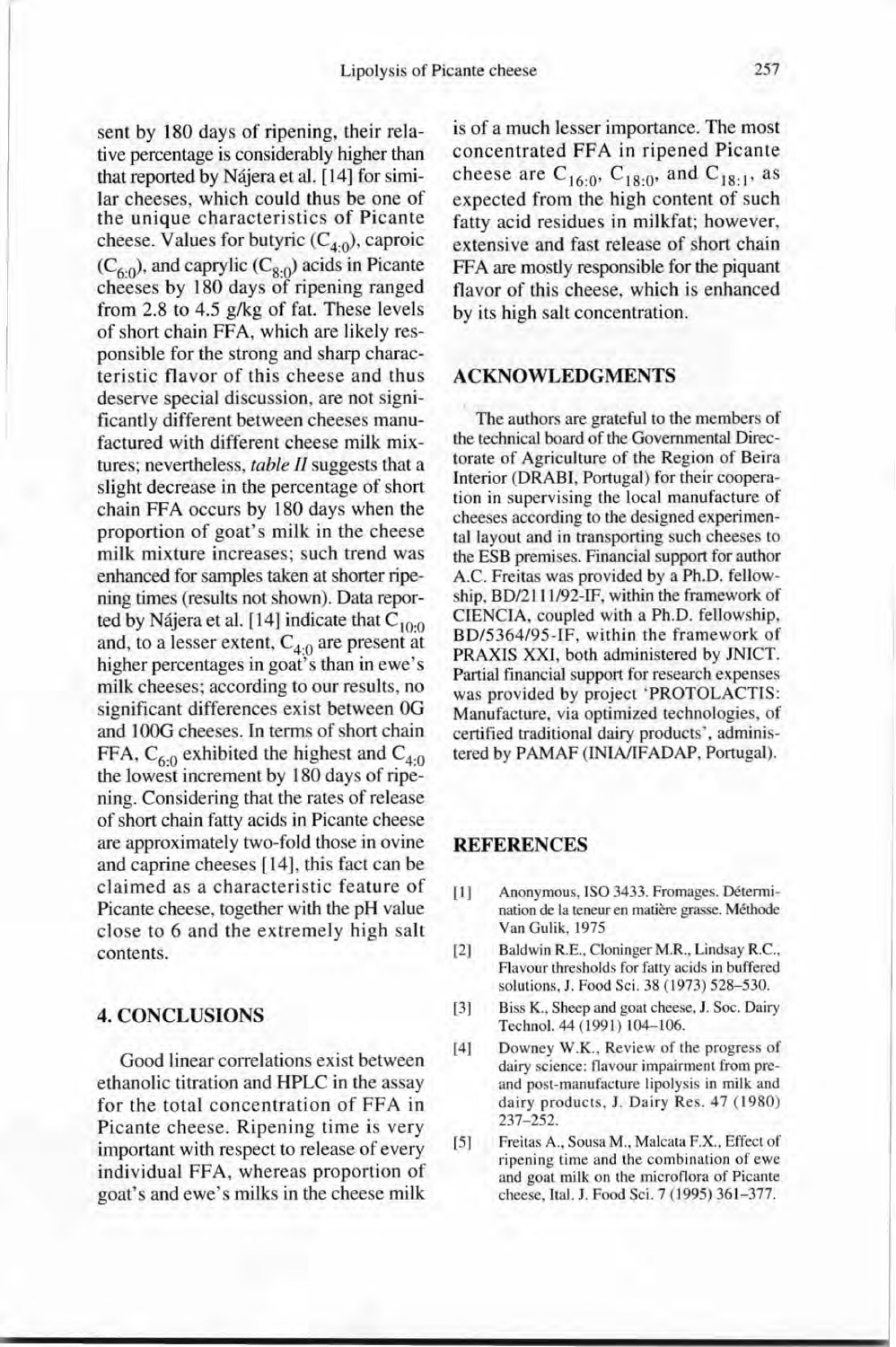sent by 180 days of ripening, their relative percentage is considerably higher than that reported by Najera et al. [14] for similar cheeses, which could thus be one of the unique characteristics of Picante cheese. Values for butyric (C<sub>4:0</sub>), caproid  $(C_{6:0})$ , and caprylic  $(C_{8:0})$  acids in Picante cheeses by 180 days of ripening ranged from 2.8 to 4.5 g/kg of fat. These levels of short chain FFA, which are likely responsible for the strong and sharp characteristic flavor of this cheese and thus deserve special discussion, are not significantly different between cheeses manufactured with different cheese milk mixtures; nevertheless, *table Il* suggests that a slight decrease in the percentage of short chain FFA occurs by 180 days when the proportion of goat's milk in the cheese milk mixture increases; such trend was enhanced for samples taken at shorter ripening times (results not shown). Data reported by Nájera et al. [14] indicate that  $\rm{C_{10:}}$ and, to a lesser extent,  $C_{4;0}$  are present at higher percentages in goat's than in ewe's milk cheeses; according to our results, no significant differences exist between OG and 100G cheeses. In terms of short chain FFA,  $C_{6:0}$  exhibited the highest and  $C_{4:0}$ the lowest increment by 180 days of ripening. Considering that the rates of release of short chain fatty acids in Picante cheese are approximately two-fold those in ovine and caprine cheeses [14], this fact can be claimed as a characteristic feature of Picante cheese, together with the pH value close to 6 and the extremely high salt contents.

# **4. CONCLUSIONS**

Good Iinear correlations exist between ethanolic titration and HPLC in the assay for the total concentration of FFA in Picante cheese. Ripening time is very important with respect to release of every individual FFA, whereas proportion of goat's and ewe's milks in the cheese milk

is of a much lesser importance. The most concentrated FFA in ripened Picante cheese are  $C_{16:0}$ ,  $C_{18:0}$ , and  $C_{18:1}$ , as expected from the high content of such fatty acid residues in milkfat; however, extensive and fast release of short chain FFA are mostly responsible for the piquant flavor of this cheese, which is enhanced by its high salt concentration.

#### **ACKNOWLEDGMENTS**

The authors are grateful to the members of the technical board of the Govemmental Directorate of Agriculture of the Region of Beira Interior (DRABI, Portugal) for their cooperation in supervising the local manufacture of cheeses according to the designed experimental layout and in transporting such cheeses to the ESB premises. Financial support for author AiC. Freitas was provided by a Ph.D. fellowship, BD/2l 11/92-IF, within the framework of CIENCIA, coupled with a Ph.D. fellowship, BD/5364/95-IF, within the framework of PRAXIS XXI, both administered by JNICT. Partial financial support for research expenses was provided by project 'PROTOLACTIS: Manufacture, via optimized technologies, of certified traditional dairy products', administered by PAMAF (INIA/IFADAP, Portugal).

#### **REFERENCES**

- [1] Anonymous, ISO 3433. Fromages. Détermination de la teneur en matière grasse. Méthode Van Gulik, 1975
- [2] Baldwin R.E., Cloninger M.R., Lindsay R.C., Flavour thresholds for fatty acids in buffered solutions, J. Food Sei. 38 (1973) 528-530.
- [3] Biss K., Sheep and goat cheese, J. Soc. Dairy Technol. 44 (1991) 104-106.
- [4] Downey W.K., Review of the progress of dairy science: flavour impairment from preand post-manufacture lipolysis in milk and dairy products, J. Dairy Res. 47 (1980) 237-252.
- [5] Freitas A., Sousa M., Malcata F.X., Effect of ripening time and the combination of ewe and goat milk on the microflora of Picante cheese, Ital. J. Food Sei. 7 (1995) 361-377.